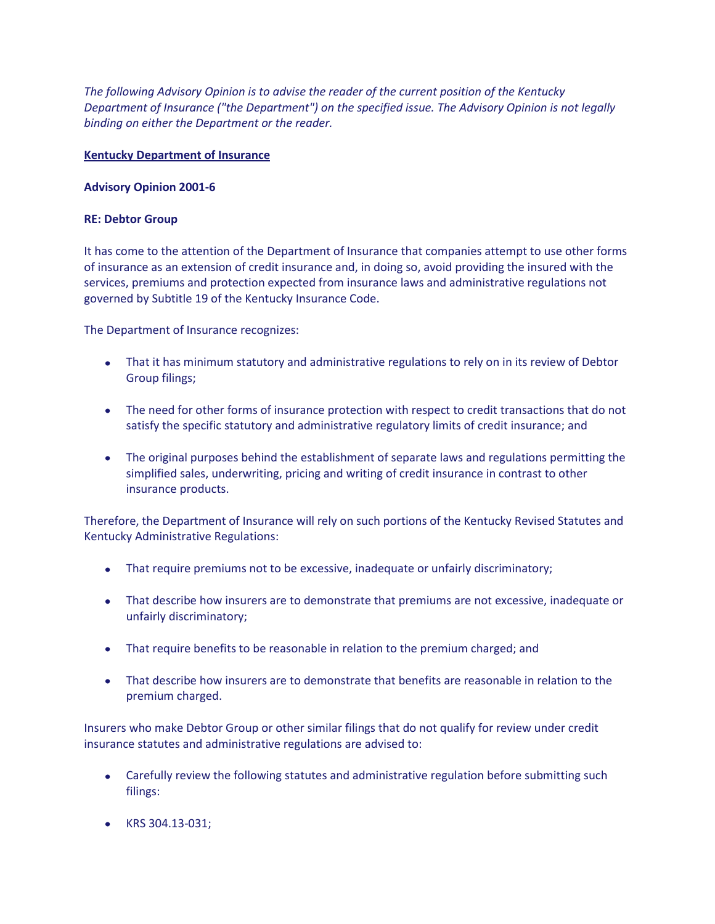*The following Advisory Opinion is to advise the reader of the current position of the Kentucky Department of Insurance ("the Department") on the specified issue. The Advisory Opinion is not legally binding on either the Department or the reader.*

## **Kentucky Department of Insurance**

## **Advisory Opinion 2001-6**

## **RE: Debtor Group**

It has come to the attention of the Department of Insurance that companies attempt to use other forms of insurance as an extension of credit insurance and, in doing so, avoid providing the insured with the services, premiums and protection expected from insurance laws and administrative regulations not governed by Subtitle 19 of the Kentucky Insurance Code.

The Department of Insurance recognizes:

- That it has minimum statutory and administrative regulations to rely on in its review of Debtor Group filings;
- The need for other forms of insurance protection with respect to credit transactions that do not satisfy the specific statutory and administrative regulatory limits of credit insurance; and
- The original purposes behind the establishment of separate laws and regulations permitting the simplified sales, underwriting, pricing and writing of credit insurance in contrast to other insurance products.

Therefore, the Department of Insurance will rely on such portions of the Kentucky Revised Statutes and Kentucky Administrative Regulations:

- That require premiums not to be excessive, inadequate or unfairly discriminatory;
- That describe how insurers are to demonstrate that premiums are not excessive, inadequate or unfairly discriminatory;
- That require benefits to be reasonable in relation to the premium charged; and
- That describe how insurers are to demonstrate that benefits are reasonable in relation to the premium charged.

Insurers who make Debtor Group or other similar filings that do not qualify for review under credit insurance statutes and administrative regulations are advised to:

- Carefully review the following statutes and administrative regulation before submitting such filings:
- KRS 304.13-031;